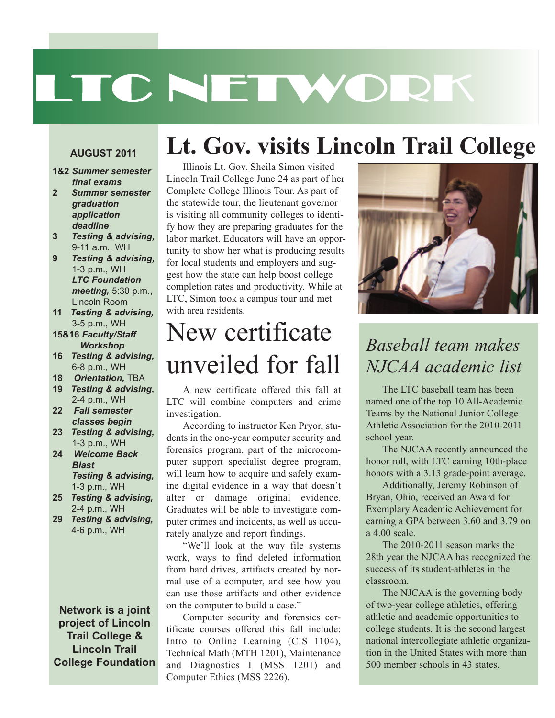# LTC NETWORK

**Lt. Gov. visits Lincoln Trail College**

#### **AUGUST 2011**

- **1&2** *Summer semester final exams*
- **2** *Summer semester graduation application deadline*
- **3** *Testing & advising,* 9-11 a.m., WH
- **9** *Testing & advising,* 1-3 p.m., WH *LTC Foundation meeting,* 5:30 p.m., Lincoln Room
- **11** *Testing & advising,* 3-5 p.m., WH
- **15&16** *Faculty/Staff Workshop*
- **16** *Testing & advising,* 6-8 p.m., WH
- **18** *Orientation,* TBA
- **19** *Testing & advising,* 2-4 p.m., WH
- **22** *Fall semester classes begin*
- **23** *Testing & advising,* 1-3 p.m., WH
- **24** *Welcome Back Blast Testing & advising,* 1-3 p.m., WH
- **25** *Testing & advising,* 2-4 p.m., WH
- **29** *Testing & advising,* 4-6 p.m., WH

**Network is a joint project of Lincoln Trail College & Lincoln Trail College Foundation**

#### Illinois Lt. Gov. Sheila Simon visited Lincoln Trail College June 24 as part of her Complete College Illinois Tour. As part of the statewide tour, the lieutenant governor is visiting all community colleges to identify how they are preparing graduates for the labor market. Educators will have an opportunity to show her what is producing results for local students and employers and suggest how the state can help boost college completion rates and productivity. While at LTC, Simon took a campus tour and met with area residents.

# New certificate unveiled for fall

A new certificate offered this fall at LTC will combine computers and crime investigation.

According to instructor Ken Pryor, students in the one-year computer security and forensics program, part of the microcomputer support specialist degree program, will learn how to acquire and safely examine digital evidence in a way that doesn't alter or damage original evidence. Graduates will be able to investigate computer crimes and incidents, as well as accurately analyze and report findings.

"We'll look at the way file systems work, ways to find deleted information from hard drives, artifacts created by normal use of a computer, and see how you can use those artifacts and other evidence on the computer to build a case."

Computer security and forensics certificate courses offered this fall include: Intro to Online Learning (CIS 1104), Technical Math (MTH 1201), Maintenance and Diagnostics I (MSS 1201) and Computer Ethics (MSS 2226).



#### *Baseball team makes NJCAA academic list*

The LTC baseball team has been named one of the top 10 All-Academic Teams by the National Junior College Athletic Association for the 2010-2011 school year.

The NJCAA recently announced the honor roll, with LTC earning 10th-place honors with a 3.13 grade-point average.

Additionally, Jeremy Robinson of Bryan, Ohio, received an Award for Exemplary Academic Achievement for earning a GPA between 3.60 and 3.79 on a 4.00 scale.

The 2010-2011 season marks the 28th year the NJCAA has recognized the success of its student-athletes in the classroom.

The NJCAA is the governing body of two-year college athletics, offering athletic and academic opportunities to college students. It is the second largest national intercollegiate athletic organization in the United States with more than 500 member schools in 43 states.